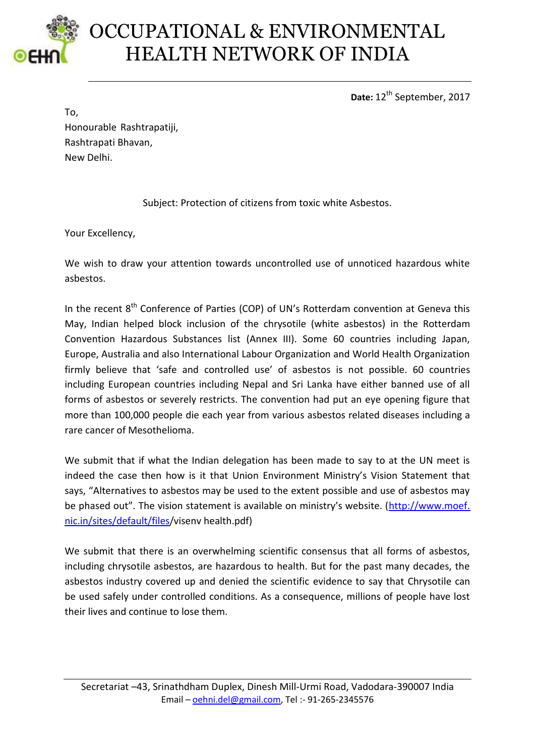

## OCCUPATIONAL & ENVIRONMENTAL HEALTH NETWORK OF INDIA

Date: 12<sup>th</sup> September, 2017

To, Honourable Rashtrapatiji, Rashtrapati Bhavan, New Delhi.

Subject: Protection of citizens from toxic white Asbestos.

Your Excellency,

We wish to draw your attention towards uncontrolled use of unnoticed hazardous white asbestos.

In the recent  $8<sup>th</sup>$  Conference of Parties (COP) of UN's Rotterdam convention at Geneva this May, Indian helped block inclusion of the chrysotile (white asbestos) in the Rotterdam Convention Hazardous Substances list (Annex III). Some 60 countries including Japan, Europe, Australia and also International Labour Organization and World Health Organization firmly believe that 'safe and controlled use' of asbestos is not possible. 60 countries including European countries including Nepal and Sri Lanka have either banned use of all forms of asbestos or severely restricts. The convention had put an eye opening figure that more than 100,000 people die each year from various asbestos related diseases including a rare cancer of Mesothelioma.

We submit that if what the Indian delegation has been made to say to at the UN meet is indeed the case then how is it that Union Environment Ministry's Vision Statement that says, "Alternatives to asbestos may be used to the extent possible and use of asbestos may be phased out". The vision statement is available on ministry's website. ([http://www.moef.](http://www.moef.nic.in/sites/default/files) [nic.in/sites/default/files/](http://www.moef.nic.in/sites/default/files)visenv health.pdf)

We submit that there is an overwhelming scientific consensus that all forms of asbestos, including chrysotile asbestos, are hazardous to health. But for the past many decades, the asbestos industry covered up and denied the scientific evidence to say that Chrysotile can be used safely under controlled conditions. As a consequence, millions of people have lost their lives and continue to lose them.